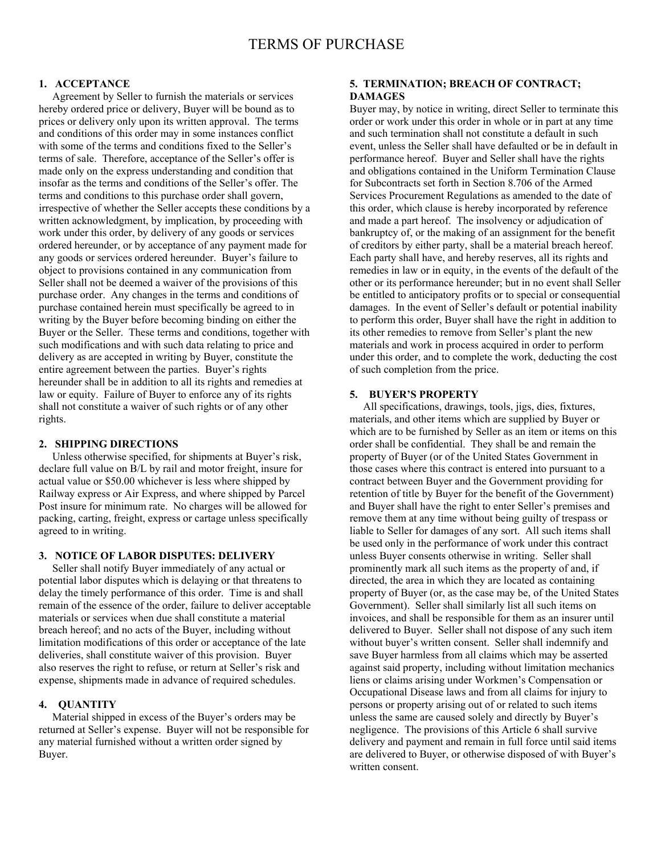# **1. ACCEPTANCE**

 Agreement by Seller to furnish the materials or services hereby ordered price or delivery, Buyer will be bound as to prices or delivery only upon its written approval. The terms and conditions of this order may in some instances conflict with some of the terms and conditions fixed to the Seller's terms of sale. Therefore, acceptance of the Seller's offer is made only on the express understanding and condition that insofar as the terms and conditions of the Seller's offer. The terms and conditions to this purchase order shall govern, irrespective of whether the Seller accepts these conditions by a written acknowledgment, by implication, by proceeding with work under this order, by delivery of any goods or services ordered hereunder, or by acceptance of any payment made for any goods or services ordered hereunder. Buyer's failure to object to provisions contained in any communication from Seller shall not be deemed a waiver of the provisions of this purchase order. Any changes in the terms and conditions of purchase contained herein must specifically be agreed to in writing by the Buyer before becoming binding on either the Buyer or the Seller. These terms and conditions, together with such modifications and with such data relating to price and delivery as are accepted in writing by Buyer, constitute the entire agreement between the parties. Buyer's rights hereunder shall be in addition to all its rights and remedies at law or equity. Failure of Buyer to enforce any of its rights shall not constitute a waiver of such rights or of any other rights.

#### **2. SHIPPING DIRECTIONS**

 Unless otherwise specified, for shipments at Buyer's risk, declare full value on B/L by rail and motor freight, insure for actual value or \$50.00 whichever is less where shipped by Railway express or Air Express, and where shipped by Parcel Post insure for minimum rate. No charges will be allowed for packing, carting, freight, express or cartage unless specifically agreed to in writing.

#### **3. NOTICE OF LABOR DISPUTES: DELIVERY**

 Seller shall notify Buyer immediately of any actual or potential labor disputes which is delaying or that threatens to delay the timely performance of this order. Time is and shall remain of the essence of the order, failure to deliver acceptable materials or services when due shall constitute a material breach hereof; and no acts of the Buyer, including without limitation modifications of this order or acceptance of the late deliveries, shall constitute waiver of this provision. Buyer also reserves the right to refuse, or return at Seller's risk and expense, shipments made in advance of required schedules.

# **4. QUANTITY**

 Material shipped in excess of the Buyer's orders may be returned at Seller's expense. Buyer will not be responsible for any material furnished without a written order signed by Buyer.

# **5. TERMINATION; BREACH OF CONTRACT; DAMAGES**

Buyer may, by notice in writing, direct Seller to terminate this order or work under this order in whole or in part at any time and such termination shall not constitute a default in such event, unless the Seller shall have defaulted or be in default in performance hereof. Buyer and Seller shall have the rights and obligations contained in the Uniform Termination Clause for Subcontracts set forth in Section 8.706 of the Armed Services Procurement Regulations as amended to the date of this order, which clause is hereby incorporated by reference and made a part hereof. The insolvency or adjudication of bankruptcy of, or the making of an assignment for the benefit of creditors by either party, shall be a material breach hereof. Each party shall have, and hereby reserves, all its rights and remedies in law or in equity, in the events of the default of the other or its performance hereunder; but in no event shall Seller be entitled to anticipatory profits or to special or consequential damages. In the event of Seller's default or potential inability to perform this order, Buyer shall have the right in addition to its other remedies to remove from Seller's plant the new materials and work in process acquired in order to perform under this order, and to complete the work, deducting the cost of such completion from the price.

# **5. BUYER'S PROPERTY**

 All specifications, drawings, tools, jigs, dies, fixtures, materials, and other items which are supplied by Buyer or which are to be furnished by Seller as an item or items on this order shall be confidential. They shall be and remain the property of Buyer (or of the United States Government in those cases where this contract is entered into pursuant to a contract between Buyer and the Government providing for retention of title by Buyer for the benefit of the Government) and Buyer shall have the right to enter Seller's premises and remove them at any time without being guilty of trespass or liable to Seller for damages of any sort. All such items shall be used only in the performance of work under this contract unless Buyer consents otherwise in writing. Seller shall prominently mark all such items as the property of and, if directed, the area in which they are located as containing property of Buyer (or, as the case may be, of the United States Government). Seller shall similarly list all such items on invoices, and shall be responsible for them as an insurer until delivered to Buyer. Seller shall not dispose of any such item without buyer's written consent. Seller shall indemnify and save Buyer harmless from all claims which may be asserted against said property, including without limitation mechanics liens or claims arising under Workmen's Compensation or Occupational Disease laws and from all claims for injury to persons or property arising out of or related to such items unless the same are caused solely and directly by Buyer's negligence. The provisions of this Article 6 shall survive delivery and payment and remain in full force until said items are delivered to Buyer, or otherwise disposed of with Buyer's written consent.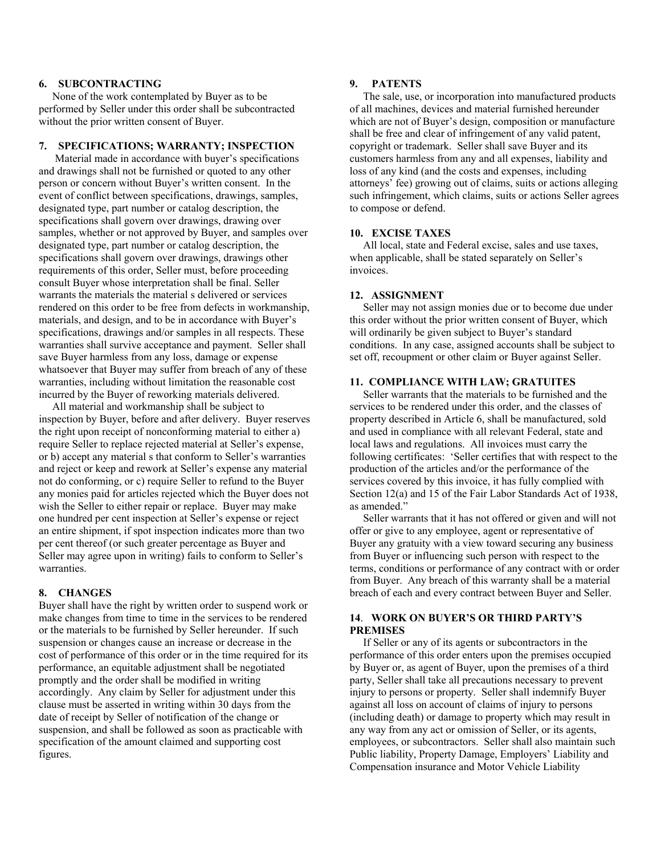#### **6. SUBCONTRACTING**

 None of the work contemplated by Buyer as to be performed by Seller under this order shall be subcontracted without the prior written consent of Buyer.

# **7. SPECIFICATIONS; WARRANTY; INSPECTION**

 Material made in accordance with buyer's specifications and drawings shall not be furnished or quoted to any other person or concern without Buyer's written consent. In the event of conflict between specifications, drawings, samples, designated type, part number or catalog description, the specifications shall govern over drawings, drawing over samples, whether or not approved by Buyer, and samples over designated type, part number or catalog description, the specifications shall govern over drawings, drawings other requirements of this order, Seller must, before proceeding consult Buyer whose interpretation shall be final. Seller warrants the materials the material s delivered or services rendered on this order to be free from defects in workmanship, materials, and design, and to be in accordance with Buyer's specifications, drawings and/or samples in all respects. These warranties shall survive acceptance and payment. Seller shall save Buyer harmless from any loss, damage or expense whatsoever that Buyer may suffer from breach of any of these warranties, including without limitation the reasonable cost incurred by the Buyer of reworking materials delivered.

 All material and workmanship shall be subject to inspection by Buyer, before and after delivery. Buyer reserves the right upon receipt of nonconforming material to either a) require Seller to replace rejected material at Seller's expense, or b) accept any material s that conform to Seller's warranties and reject or keep and rework at Seller's expense any material not do conforming, or c) require Seller to refund to the Buyer any monies paid for articles rejected which the Buyer does not wish the Seller to either repair or replace. Buyer may make one hundred per cent inspection at Seller's expense or reject an entire shipment, if spot inspection indicates more than two per cent thereof (or such greater percentage as Buyer and Seller may agree upon in writing) fails to conform to Seller's warranties.

# **8. CHANGES**

Buyer shall have the right by written order to suspend work or make changes from time to time in the services to be rendered or the materials to be furnished by Seller hereunder. If such suspension or changes cause an increase or decrease in the cost of performance of this order or in the time required for its performance, an equitable adjustment shall be negotiated promptly and the order shall be modified in writing accordingly. Any claim by Seller for adjustment under this clause must be asserted in writing within 30 days from the date of receipt by Seller of notification of the change or suspension, and shall be followed as soon as practicable with specification of the amount claimed and supporting cost figures.

# **9. PATENTS**

 The sale, use, or incorporation into manufactured products of all machines, devices and material furnished hereunder which are not of Buyer's design, composition or manufacture shall be free and clear of infringement of any valid patent, copyright or trademark. Seller shall save Buyer and its customers harmless from any and all expenses, liability and loss of any kind (and the costs and expenses, including attorneys' fee) growing out of claims, suits or actions alleging such infringement, which claims, suits or actions Seller agrees to compose or defend.

# **10. EXCISE TAXES**

 All local, state and Federal excise, sales and use taxes, when applicable, shall be stated separately on Seller's invoices.

#### **12. ASSIGNMENT**

 Seller may not assign monies due or to become due under this order without the prior written consent of Buyer, which will ordinarily be given subject to Buyer's standard conditions. In any case, assigned accounts shall be subject to set off, recoupment or other claim or Buyer against Seller.

### **11. COMPLIANCE WITH LAW; GRATUITES**

 Seller warrants that the materials to be furnished and the services to be rendered under this order, and the classes of property described in Article 6, shall be manufactured, sold and used in compliance with all relevant Federal, state and local laws and regulations. All invoices must carry the following certificates: 'Seller certifies that with respect to the production of the articles and/or the performance of the services covered by this invoice, it has fully complied with Section 12(a) and 15 of the Fair Labor Standards Act of 1938, as amended."

 Seller warrants that it has not offered or given and will not offer or give to any employee, agent or representative of Buyer any gratuity with a view toward securing any business from Buyer or influencing such person with respect to the terms, conditions or performance of any contract with or order from Buyer. Any breach of this warranty shall be a material breach of each and every contract between Buyer and Seller.

# **14**. **WORK ON BUYER'S OR THIRD PARTY'S PREMISES**

If Seller or any of its agents or subcontractors in the performance of this order enters upon the premises occupied by Buyer or, as agent of Buyer, upon the premises of a third party, Seller shall take all precautions necessary to prevent injury to persons or property. Seller shall indemnify Buyer against all loss on account of claims of injury to persons (including death) or damage to property which may result in any way from any act or omission of Seller, or its agents, employees, or subcontractors. Seller shall also maintain such Public liability, Property Damage, Employers' Liability and Compensation insurance and Motor Vehicle Liability